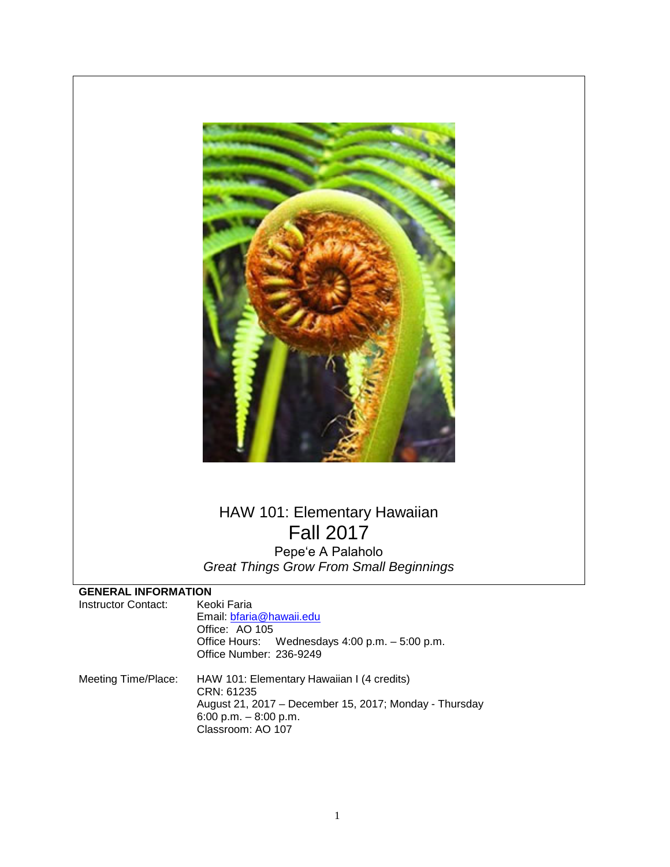

# HAW 101: Elementary Hawaiian Fall 2017 Pepeʻe A Palaholo

*Great Things Grow From Small Beginnings*

## **GENERAL INFORMATION**

| Instructor Contact: | Keoki Faria<br>Email: bfaria@hawaii.edu<br>Office: AO 105<br>Office Hours: Wednesdays 4:00 p.m. - 5:00 p.m.<br>Office Number: 236-9249                            |
|---------------------|-------------------------------------------------------------------------------------------------------------------------------------------------------------------|
| Meeting Time/Place: | HAW 101: Elementary Hawaiian I (4 credits)<br>CRN: 61235<br>August 21, 2017 - December 15, 2017; Monday - Thursday<br>6:00 p.m. $-8:00$ p.m.<br>Classroom: AO 107 |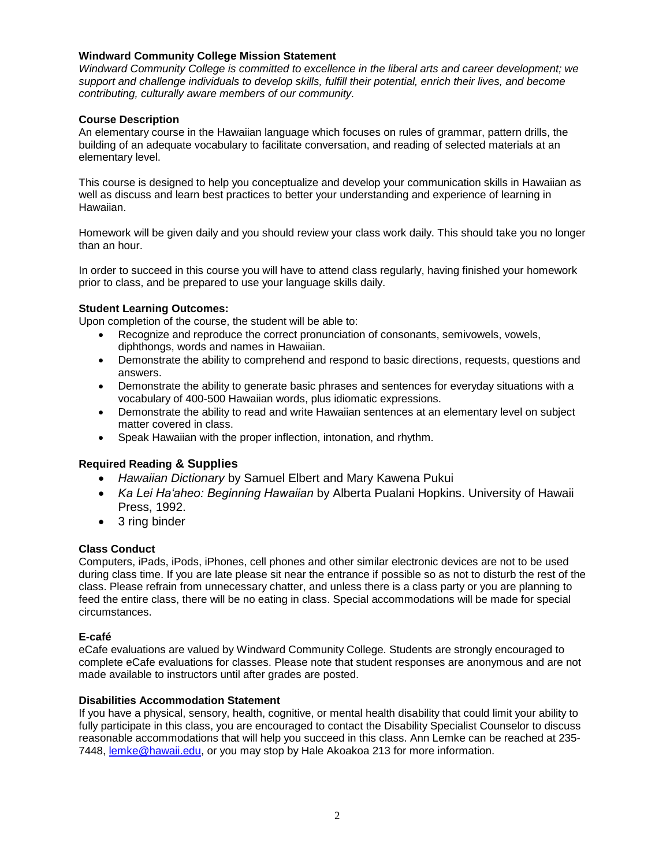#### **Windward Community College Mission Statement**

*Windward Community College is committed to excellence in the liberal arts and career development; we support and challenge individuals to develop skills, fulfill their potential, enrich their lives, and become contributing, culturally aware members of our community.*

### **Course Description**

An elementary course in the Hawaiian language which focuses on rules of grammar, pattern drills, the building of an adequate vocabulary to facilitate conversation, and reading of selected materials at an elementary level.

This course is designed to help you conceptualize and develop your communication skills in Hawaiian as well as discuss and learn best practices to better your understanding and experience of learning in Hawaiian.

Homework will be given daily and you should review your class work daily. This should take you no longer than an hour.

In order to succeed in this course you will have to attend class regularly, having finished your homework prior to class, and be prepared to use your language skills daily.

#### **Student Learning Outcomes:**

Upon completion of the course, the student will be able to:

- Recognize and reproduce the correct pronunciation of consonants, semivowels, vowels, diphthongs, words and names in Hawaiian.
- Demonstrate the ability to comprehend and respond to basic directions, requests, questions and answers.
- Demonstrate the ability to generate basic phrases and sentences for everyday situations with a vocabulary of 400-500 Hawaiian words, plus idiomatic expressions.
- Demonstrate the ability to read and write Hawaiian sentences at an elementary level on subject matter covered in class.
- Speak Hawaiian with the proper inflection, intonation, and rhythm.

## **Required Reading & Supplies**

- *Hawaiian Dictionary* by Samuel Elbert and Mary Kawena Pukui
- *Ka Lei Haʻaheo: Beginning Hawaiian* by Alberta Pualani Hopkins. University of Hawaii Press, 1992.
- 3 ring binder

#### **Class Conduct**

Computers, iPads, iPods, iPhones, cell phones and other similar electronic devices are not to be used during class time. If you are late please sit near the entrance if possible so as not to disturb the rest of the class. Please refrain from unnecessary chatter, and unless there is a class party or you are planning to feed the entire class, there will be no eating in class. Special accommodations will be made for special circumstances.

#### **E-café**

eCafe evaluations are valued by Windward Community College. Students are strongly encouraged to complete eCafe evaluations for classes. Please note that student responses are anonymous and are not made available to instructors until after grades are posted.

#### **Disabilities Accommodation Statement**

If you have a physical, sensory, health, cognitive, or mental health disability that could limit your ability to fully participate in this class, you are encouraged to contact the Disability Specialist Counselor to discuss reasonable accommodations that will help you succeed in this class. Ann Lemke can be reached at 235- 7448, [lemke@hawaii.edu,](mailto:lemke@hawaii.edu) or you may stop by Hale Akoakoa 213 for more information.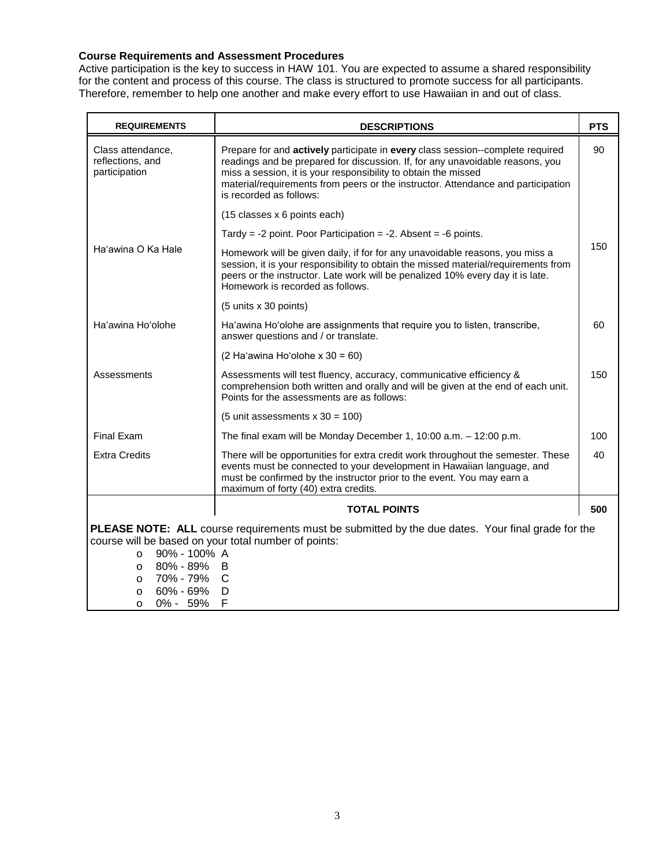## **Course Requirements and Assessment Procedures**

Active participation is the key to success in HAW 101. You are expected to assume a shared responsibility for the content and process of this course. The class is structured to promote success for all participants. Therefore, remember to help one another and make every effort to use Hawaiian in and out of class.

| <b>REQUIREMENTS</b>                                                                                      | <b>DESCRIPTIONS</b>                                                                                                                                                                                                                                                                                                                              | <b>PTS</b> |
|----------------------------------------------------------------------------------------------------------|--------------------------------------------------------------------------------------------------------------------------------------------------------------------------------------------------------------------------------------------------------------------------------------------------------------------------------------------------|------------|
| Class attendance,<br>reflections, and<br>participation                                                   | Prepare for and actively participate in every class session--complete required<br>readings and be prepared for discussion. If, for any unavoidable reasons, you<br>miss a session, it is your responsibility to obtain the missed<br>material/requirements from peers or the instructor. Attendance and participation<br>is recorded as follows: | 90         |
|                                                                                                          | (15 classes x 6 points each)                                                                                                                                                                                                                                                                                                                     |            |
| Ha'awina O Ka Hale                                                                                       | Tardy = $-2$ point. Poor Participation = $-2$ . Absent = $-6$ points.                                                                                                                                                                                                                                                                            |            |
|                                                                                                          | Homework will be given daily, if for for any unavoidable reasons, you miss a<br>session, it is your responsibility to obtain the missed material/requirements from<br>peers or the instructor. Late work will be penalized 10% every day it is late.<br>Homework is recorded as follows.                                                         | 150        |
|                                                                                                          | (5 units x 30 points)                                                                                                                                                                                                                                                                                                                            |            |
| Ha'awina Ho'olohe                                                                                        | Ha'awina Ho'olohe are assignments that require you to listen, transcribe,<br>answer questions and / or translate.                                                                                                                                                                                                                                | 60         |
|                                                                                                          | $(2 \text{ Ha}'$ awina Ho'olohe x 30 = 60)                                                                                                                                                                                                                                                                                                       |            |
| Assessments                                                                                              | Assessments will test fluency, accuracy, communicative efficiency &<br>comprehension both written and orally and will be given at the end of each unit.<br>Points for the assessments are as follows:                                                                                                                                            | 150        |
|                                                                                                          | (5 unit assessments $x$ 30 = 100)                                                                                                                                                                                                                                                                                                                |            |
| <b>Final Exam</b>                                                                                        | The final exam will be Monday December 1, 10:00 a.m. $-$ 12:00 p.m.                                                                                                                                                                                                                                                                              | 100        |
| <b>Extra Credits</b>                                                                                     | There will be opportunities for extra credit work throughout the semester. These<br>events must be connected to your development in Hawaiian language, and<br>must be confirmed by the instructor prior to the event. You may earn a<br>maximum of forty (40) extra credits.                                                                     | 40         |
|                                                                                                          | <b>TOTAL POINTS</b>                                                                                                                                                                                                                                                                                                                              | 500        |
| <b>PLEASE NOTE: ALL</b> course requirements must be submitted by the due dates. Your final grade for the |                                                                                                                                                                                                                                                                                                                                                  |            |
| course will be based on your total number of points:                                                     |                                                                                                                                                                                                                                                                                                                                                  |            |
| 90% - 100% A<br>$\circ$                                                                                  |                                                                                                                                                                                                                                                                                                                                                  |            |
| 80% - 89%<br>$\circ$                                                                                     | B                                                                                                                                                                                                                                                                                                                                                |            |
| 70% - 79%<br>$\circ$                                                                                     | $\mathsf{C}$                                                                                                                                                                                                                                                                                                                                     |            |
| 60% - 69%<br>$\circ$<br>0% - 59%<br>$\Omega$                                                             | D<br>F                                                                                                                                                                                                                                                                                                                                           |            |
|                                                                                                          |                                                                                                                                                                                                                                                                                                                                                  |            |